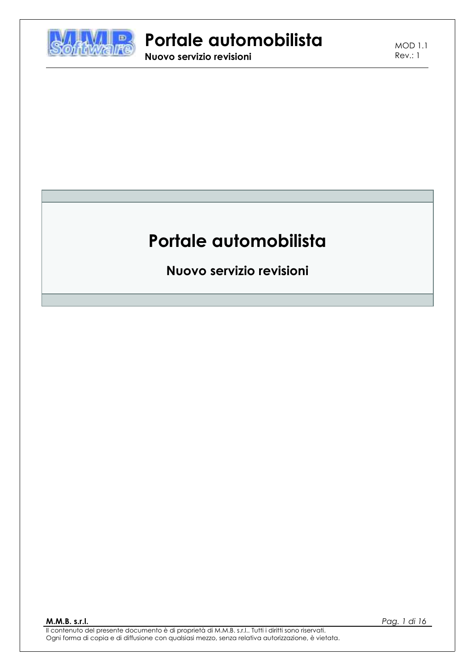

Nuovo servizio revisioni

**MOD 1.1**  $Rev: 1$ 

# Portale automobilista

Nuovo servizio revisioni

M.M.B. s.r.l.

Pag. 1 di 16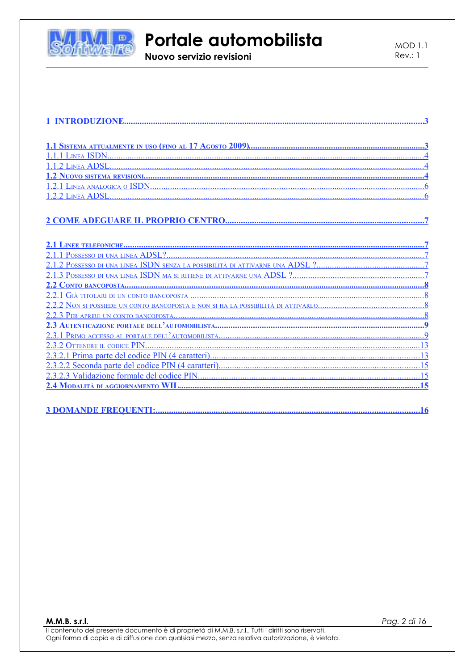

Nuovo servizio revisioni

#### 

M.M.B. s.r.l.

Pag. 2 di 16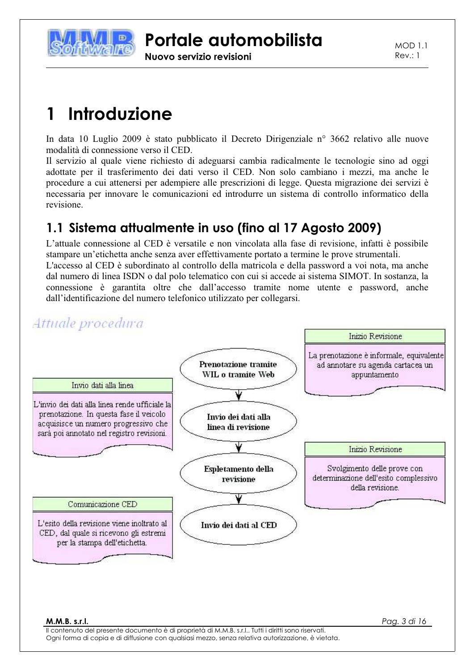

Nuovo servizio revisioni

 $MOD11$  $Rev: 1$ 

Pag. 3 di 16

#### Introduzione 1

In data 10 Luglio 2009 è stato pubblicato il Decreto Dirigenziale nº 3662 relativo alle nuove modalità di connessione verso il CED.

Il servizio al quale viene richiesto di adeguarsi cambia radicalmente le tecnologie sino ad oggi adottate per il trasferimento dei dati verso il CED. Non solo cambiano i mezzi, ma anche le procedure a cui attenersi per adempiere alle prescrizioni di legge. Questa migrazione dei servizi è necessaria per innovare le comunicazioni ed introdurre un sistema di controllo informatico della revisione.

## 1.1 Sistema attualmente in uso (fino al 17 Agosto 2009)

L'attuale connessione al CED è versatile e non vincolata alla fase di revisione, infatti è possibile stampare un'etichetta anche senza aver effettivamente portato a termine le prove strumentali. L'accesso al CED è subordinato al controllo della matricola e della password a voi nota, ma anche dal numero di linea ISDN o dal polo telematico con cui si accede ai sistema SIMOT. In sostanza, la connessione è garantita oltre che dall'accesso tramite nome utente e password, anche dall'identificazione del numero telefonico utilizzato per collegarsi.

## Attuale procedura

M.M.B. s.r.l.

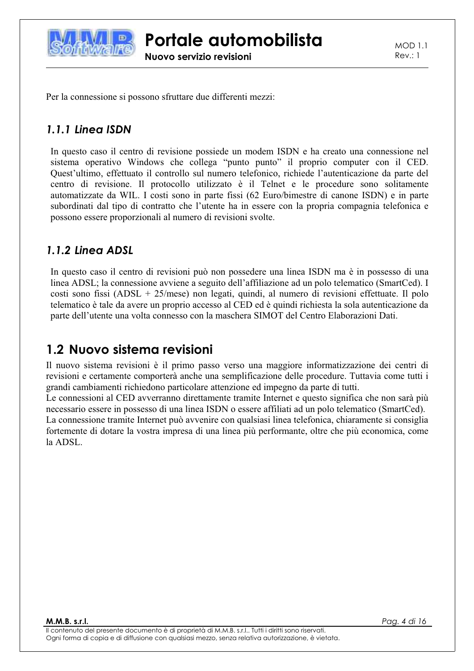

**MOD 1.1**  $Rev: 1$ 

Per la connessione si possono sfruttare due differenti mezzi:

### 1.1.1 Linea ISDN

In questo caso il centro di revisione possiede un modem ISDN e ha creato una connessione nel sistema operativo Windows che collega "punto punto" il proprio computer con il CED. Quest'ultimo, effettuato il controllo sul numero telefonico, richiede l'autenticazione da parte del centro di revisione. Il protocollo utilizzato è il Telnet e le procedure sono solitamente automatizzate da WIL. I costi sono in parte fissi (62 Euro/bimestre di canone ISDN) e in parte subordinati dal tipo di contratto che l'utente ha in essere con la propria compagnia telefonica e possono essere proporzionali al numero di revisioni svolte.

### 1.1.2 Linea ADSL

In questo caso il centro di revisioni può non possedere una linea ISDN ma è in possesso di una linea ADSL; la connessione avviene a seguito dell'affiliazione ad un polo telematico (SmartCed). I costi sono fissi (ADSL +  $25/mese$ ) non legati, quindi, al numero di revisioni effettuate. Il polo telematico è tale da avere un proprio accesso al CED ed è quindi richiesta la sola autenticazione da parte dell'utente una volta connesso con la maschera SIMOT del Centro Elaborazioni Dati.

## 1.2 Nuovo sistema revisioni

Il nuovo sistema revisioni è il primo passo verso una maggiore informatizzazione dei centri di revisioni e certamente comporterà anche una semplificazione delle procedure. Tuttavia come tutti i grandi cambiamenti richiedono particolare attenzione ed impegno da parte di tutti.

Le connessioni al CED avverranno direttamente tramite Internet e questo significa che non sarà più necessario essere in possesso di una linea ISDN o essere affiliati ad un polo telematico (SmartCed). La connessione tramite Internet può avvenire con qualsiasi linea telefonica, chiaramente si consiglia fortemente di dotare la vostra impresa di una linea più performante, oltre che più economica, come la ADSL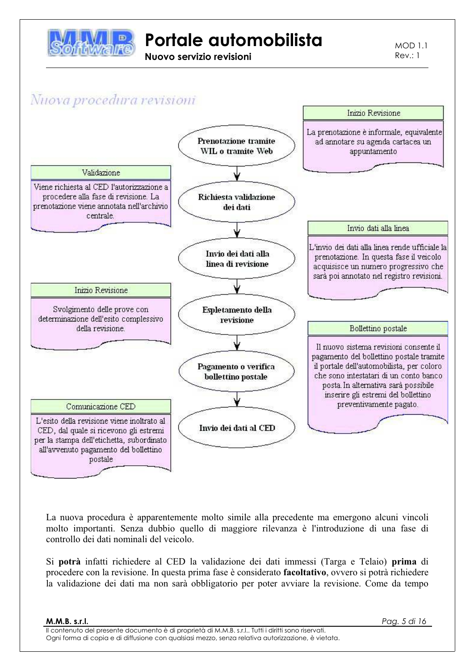

Nuovo servizio revisioni

 $MOD11$  $Rev: 1$ 

## Nuova procedura revisioni



La nuova procedura è apparentemente molto simile alla precedente ma emergono alcuni vincoli molto importanti. Senza dubbio quello di maggiore rilevanza è l'introduzione di una fase di controllo dei dati nominali del veicolo.

Si potrà infatti richiedere al CED la validazione dei dati immessi (Targa e Telaio) prima di procedere con la revisione. In questa prima fase è considerato facoltativo, ovvero si potrà richiedere la validazione dei dati ma non sarà obbligatorio per poter avviare la revisione. Come da tempo

Pag. 5 di 16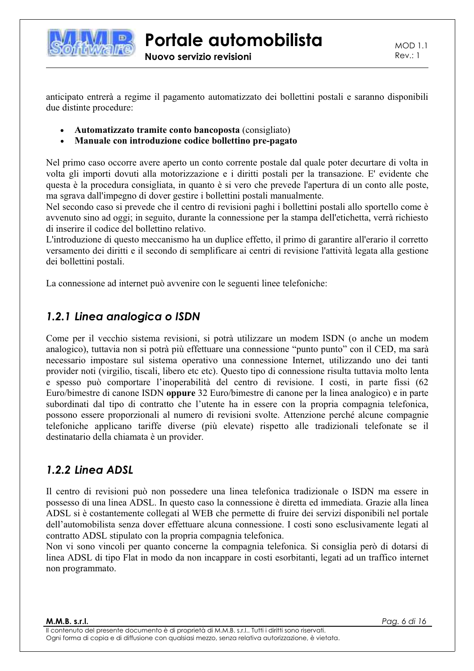

 $MOD1.1$  $Rev.: 1$ 

anticipato entrerà a regime il pagamento automatizzato dei bollettini postali e saranno disponibili due distinte procedure:

- Automatizzato tramite conto bancoposta (consigliato)
- Manuale con introduzione codice bollettino pre-pagato

Nel primo caso occorre avere aperto un conto corrente postale dal quale poter decurtare di volta in volta gli importi dovuti alla motorizzazione e i diritti postali per la transazione. E' evidente che questa è la procedura consigliata, in quanto è si vero che prevede l'apertura di un conto alle poste, ma sgrava dall'impegno di dover gestire i bollettini postali manualmente.

Nel secondo caso si prevede che il centro di revisioni paghi i bollettini postali allo sportello come è avvenuto sino ad oggi; in seguito, durante la connessione per la stampa dell'etichetta, verrà richiesto di inserire il codice del bollettino relativo.

L'introduzione di questo meccanismo ha un duplice effetto, il primo di garantire all'erario il corretto versamento dei diritti e il secondo di semplificare ai centri di revisione l'attività legata alla gestione dei bollettini postali.

La connessione ad internet può avvenire con le seguenti linee telefoniche:

#### 1.2.1 Linea analogica o ISDN

Come per il vecchio sistema revisioni, si potrà utilizzare un modem ISDN (o anche un modem analogico), tuttavia non si potrà più effettuare una connessione "punto punto" con il CED, ma sarà necessario impostare sul sistema operativo una connessione Internet, utilizzando uno dei tanti provider noti (virgilio, tiscali, libero etc etc). Questo tipo di connessione risulta tuttavia molto lenta e spesso può comportare l'inoperabilità del centro di revisione. I costi, in parte fissi (62 Euro/bimestre di canone ISDN oppure 32 Euro/bimestre di canone per la linea analogico) e in parte subordinati dal tipo di contratto che l'utente ha in essere con la propria compagnia telefonica, possono essere proporzionali al numero di revisioni svolte. Attenzione perché alcune compagnie telefoniche applicano tariffe diverse (più elevate) rispetto alle tradizionali telefonate se il destinatario della chiamata è un provider.

#### 1.2.2 Linea ADSL

Il centro di revisioni può non possedere una linea telefonica tradizionale o ISDN ma essere in possesso di una linea ADSL. In questo caso la connessione è diretta ed immediata. Grazie alla linea ADSL si è costantemente collegati al WEB che permette di fruire dei servizi disponibili nel portale dell'automobilista senza dover effettuare alcuna connessione. I costi sono esclusivamente legati al contratto ADSL stipulato con la propria compagnia telefonica.

Non vi sono vincoli per quanto concerne la compagnia telefonica. Si consiglia però di dotarsi di linea ADSL di tipo Flat in modo da non incappare in costi esorbitanti, legati ad un traffico internet non programmato.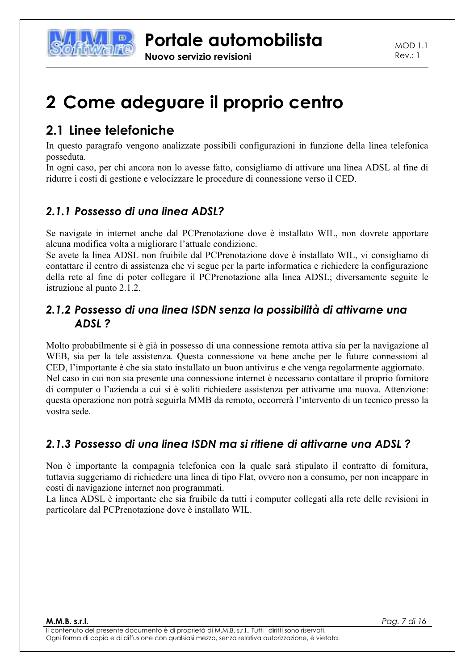

# 2 Come adeguare il proprio centro

## 2.1 linee telefoniche

In questo paragrafo vengono analizzate possibili configurazioni in funzione della linea telefonica posseduta.

In ogni caso, per chi ancora non lo avesse fatto, consigliamo di attivare una linea ADSL al fine di ridurre i costi di gestione e velocizzare le procedure di connessione verso il CED.

## 2.1.1 Possesso di una linea ADSL?

Se navigate in internet anche dal PCPrenotazione dove è installato WIL, non dovrete apportare alcuna modifica volta a migliorare l'attuale condizione.

Se avete la linea ADSL non fruibile dal PCPrenotazione dove è installato WIL, vi consigliamo di contattare il centro di assistenza che vi segue per la parte informatica e richiedere la configurazione della rete al fine di poter collegare il PCPrenotazione alla linea ADSL; diversamente seguite le istruzione al punto 2.1.2.

### 2.1.2 Possesso di una linea ISDN senza la possibilità di attivarne una ADSL?

Molto probabilmente si è già in possesso di una connessione remota attiva sia per la navigazione al WEB, sia per la tele assistenza. Questa connessione va bene anche per le future connessioni al CED, l'importante è che sia stato installato un buon antivirus e che venga regolarmente aggiornato. Nel caso in cui non sia presente una connessione internet è necessario contattare il proprio fornitore di computer o l'azienda a cui si è soliti richiedere assistenza per attivarne una nuova. Attenzione: questa operazione non potrà seguirla MMB da remoto, occorrerà l'intervento di un tecnico presso la vostra sede.

## 2.1.3 Possesso di una linea ISDN ma si ritiene di attivarne una ADSL?

Non è importante la compagnia telefonica con la quale sarà stipulato il contratto di fornitura, tuttavia suggeriamo di richiedere una linea di tipo Flat, ovvero non a consumo, per non incappare in costi di navigazione internet non programmati.

La linea ADSL è importante che sia fruibile da tutti i computer collegati alla rete delle revisioni in particolare dal PCPrenotazione dove è installato WIL.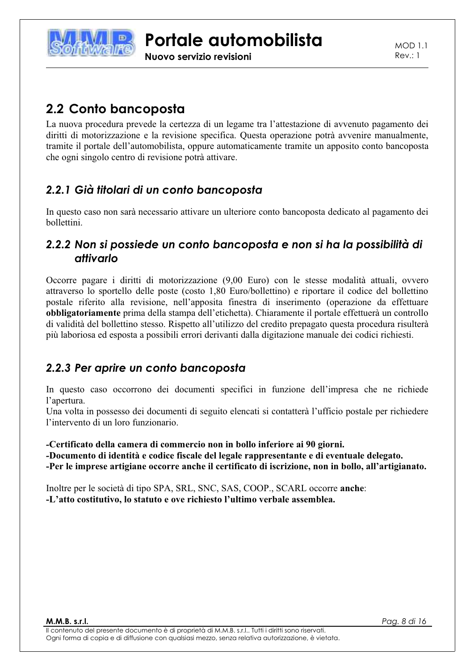

Nuovo servizio revisioni

 $MOD11$  $Rev: 1$ 

## 2.2 Conto bancoposta

La nuova procedura prevede la certezza di un legame tra l'attestazione di avvenuto pagamento dei diritti di motorizzazione e la revisione specifica. Questa operazione potrà avvenire manualmente, tramite il portale dell'automobilista, oppure automaticamente tramite un apposito conto bancoposta che ogni singolo centro di revisione potrà attivare.

## 2.2.1 Già titolari di un conto bancoposta

In questo caso non sarà necessario attivare un ulteriore conto bancoposta dedicato al pagamento dei bollettini.

### 2.2.2 Non si possiede un conto bancoposta e non si ha la possibilità di attivarlo

Occorre pagare i diritti di motorizzazione (9,00 Euro) con le stesse modalità attuali, ovvero attraverso lo sportello delle poste (costo 1,80 Euro/bollettino) e riportare il codice del bollettino postale riferito alla revisione, nell'apposita finestra di inserimento (operazione da effettuare obbligatoriamente prima della stampa dell'etichetta). Chiaramente il portale effettuerà un controllo di validità del bollettino stesso. Rispetto all'utilizzo del credito prepagato questa procedura risulterà più laboriosa ed esposta a possibili errori derivanti dalla digitazione manuale dei codici richiesti.

## 2.2.3 Per aprire un conto bancoposta

In questo caso occorrono dei documenti specifici in funzione dell'impresa che ne richiede l'apertura.

Una volta in possesso dei documenti di seguito elencati si contatterà l'ufficio postale per richiedere l'intervento di un loro funzionario.

#### -Certificato della camera di commercio non in bollo inferiore ai 90 giorni.

-Documento di identità e codice fiscale del legale rappresentante e di eventuale delegato. -Per le imprese artigiane occorre anche il certificato di iscrizione, non in bollo, all'artigianato.

Inoltre per le società di tipo SPA, SRL, SNC, SAS, COOP., SCARL occorre anche: -L'atto costitutivo, lo statuto e ove richiesto l'ultimo verbale assemblea.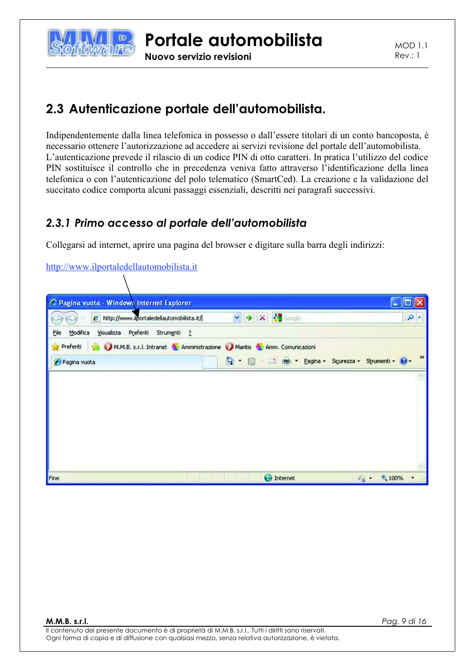

Nuovo servizio revisioni

## 2.3 Autenticazione portale dell'automobilista.

Indipendentemente dalla linea telefonica in possesso o dall'essere titolari di un conto bancoposta, è necessario ottenere l'autorizzazione ad accedere ai servizi revisione del portale dell'automobilista. L'autenticazione prevede il rilascio di un codice PIN di otto caratteri. In pratica l'utilizzo del codice PIN sostituisce il controllo che in precedenza veniva fatto attraverso l'identificazione della linea telefonica o con l'autenticazione del polo telematico (SmartCed). La creazione e la validazione del succitato codice comporta alcuni passaggi essenziali, descritti nei paragrafi successivi.

## 2.3.1 Primo accesso al portale dell'automobilista

Collegarsi ad internet, aprire una pagina del browser e digitare sulla barra degli indirizzi:

#### http://www.ilportaledellautomobilista.it

| c                         | Pagina vuota - Windows Internet Explorer<br>http://www.ilportaledellautomobilista.it/ | $\mathbf{v}$<br>$\rightarrow$ | X Scoole                                      |                                    | ٩             |
|---------------------------|---------------------------------------------------------------------------------------|-------------------------------|-----------------------------------------------|------------------------------------|---------------|
| File<br>Modifica          | Visualizza Preferiti Strumenti ?                                                      |                               |                                               |                                    |               |
| Preferiti<br>Pagina vuota | M.M.B. s.r.l. Intranet & Amministrazione Mantis & Amm. Comunicazioni                  | 20                            | - El est - Pagina - Sigurezza - Strumenti - 2 |                                    | $\rightarrow$ |
|                           |                                                                                       |                               |                                               |                                    |               |
|                           |                                                                                       |                               |                                               |                                    |               |
|                           |                                                                                       |                               |                                               |                                    |               |
|                           |                                                                                       |                               |                                               |                                    |               |
|                           |                                                                                       |                               |                                               |                                    |               |
| Fine                      |                                                                                       |                               | <b>O</b> Internet                             | $\frac{1}{6}$ - $\frac{4}{3}$ 100% |               |

Pag. 9 di 16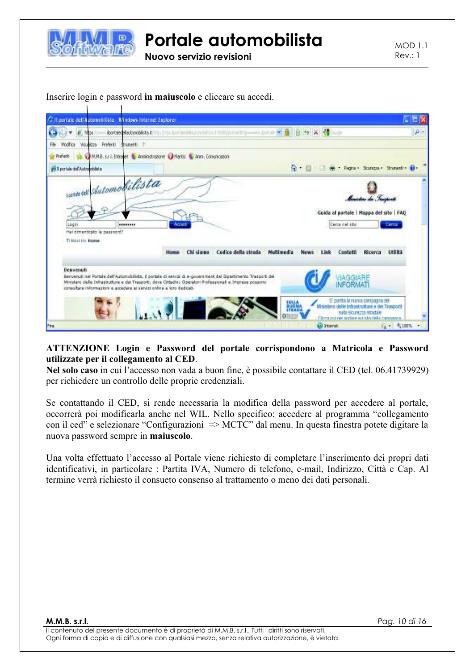

Nuovo servizio revisioni

**MOD 1.1**  $Rev.: 1$ 

| C Il portale dell'Automobiliste M'indows Internet Explorer                                                                                                                                                                                                                                                                               |                                                                                                                 |                     |                    |                                                                                                                                                                                       | - 1313                               |
|------------------------------------------------------------------------------------------------------------------------------------------------------------------------------------------------------------------------------------------------------------------------------------------------------------------------------------------|-----------------------------------------------------------------------------------------------------------------|---------------------|--------------------|---------------------------------------------------------------------------------------------------------------------------------------------------------------------------------------|--------------------------------------|
|                                                                                                                                                                                                                                                                                                                                          | lootaledela.comobilista.it:111) : (typ. 2) im aedal subjectibles.it 3000 (politicial 2) (powers 2) and 2012 and |                     |                    | $x - t$                                                                                                                                                                               | $\rho$ .                             |
| Visualizza Preferiti<br>Strumenti 2<br>File<br><b>Modifica</b>                                                                                                                                                                                                                                                                           |                                                                                                                 |                     |                    |                                                                                                                                                                                       |                                      |
| Preferit                                                                                                                                                                                                                                                                                                                                 | DINA STIL Direkt & Annistratore Directs & Ann. Consicution                                                      |                     |                    |                                                                                                                                                                                       |                                      |
| #4 3 portale del Autropoblista                                                                                                                                                                                                                                                                                                           |                                                                                                                 |                     | 6. 日               |                                                                                                                                                                                       | Fagna v Scurezza v Strumenti v 83 v  |
| wanted Sutomobilista<br>Login<br>********<br>Het dimenticato la password?<br>Ti trovi int Home                                                                                                                                                                                                                                           | Actuat<br>Chi siamo<br><b>Home</b>                                                                              | Codice della strada | Multimedia<br>Ment | Guida al portale   Mappa del sito   FAQ<br>Cerca nel sito<br>Contatti                                                                                                                 | Ciertar<br><b>Utilitá</b><br>Ricerca |
| <b>ROOM</b><br>Benvenuti<br>Berweruti nel Portale dell'Automobilista, il portale di servizi di e-povemment del Dipartimento Trasporti del<br>Wristero delle Infrastrutture e dei Traggorti, done Cittadini. Operatori Professionali e Imprese possono<br>consultare informazioni e accedere ai servizi online a loro dedicati-<br>First. |                                                                                                                 |                     | <b>SULLA</b>       | E' partita la nuova campagna del<br>Ministero delle Intrastrutture e del Trasporti<br>sulla sicurazza attachie<br>Claim milling and one of the dela harmonical<br><b>Lei Internat</b> | $F_{\rm H} = 100\%$                  |

#### Inserire login e password in maiuscolo e cliccare su accedi.

#### ATTENZIONE Login e Password del portale corrispondono a Matricola e Password utilizzate per il collegamento al CED.

Nel solo caso in cui l'accesso non vada a buon fine, è possibile contattare il CED (tel. 06.41739929) per richiedere un controllo delle proprie credenziali.

Se contattando il CED, si rende necessaria la modifica della password per accedere al portale, occorrerà poi modificarla anche nel WIL. Nello specifico: accedere al programma "collegamento" con il ced" e selezionare "Configurazioni" => MCTC" dal menu. In questa finestra potete digitare la nuova password sempre in maiuscolo.

Una volta effettuato l'accesso al Portale viene richiesto di completare l'inserimento dei propri dati identificativi, in particolare: Partita IVA, Numero di telefono, e-mail, Indirizzo, Città e Cap. Al termine verrà richiesto il consueto consenso al trattamento o meno dei dati personali.

M.M.B. s.r.l.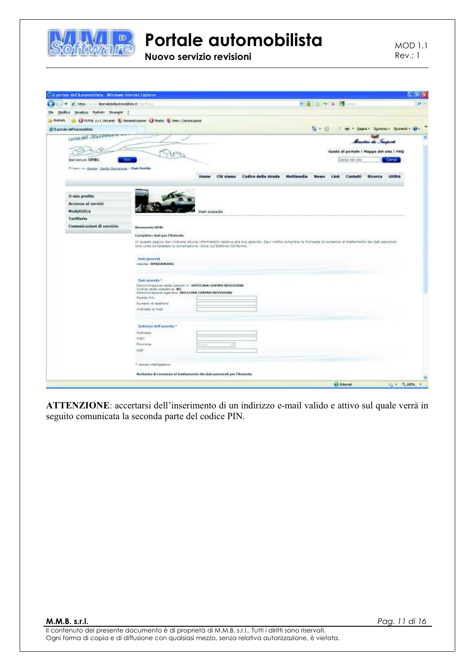

Nuovo servizio revisioni

**MOD 1.1**  $Rev.: 1$ 



ATTENZIONE: accertarsi dell'inserimento di un indirizzo e-mail valido e attivo sul quale verrà in seguito comunicata la seconda parte del codice PIN.

M.M.B. s.r.l.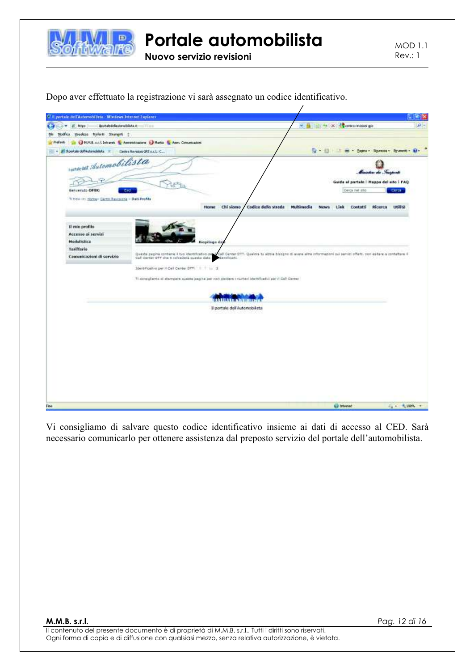

Nuovo servizio revisioni

**MOD 1.1**  $Rev: 1$ 

| C Il pertale dell'Automobilista - Mindows Internet Explorer<br>iportaledella itançisista it: Timm<br>titps: |                                                                                                        | ٠                                                                                                                      | 2010 Factor A.C. A. Contact mission goal     | a<br>p            |
|-------------------------------------------------------------------------------------------------------------|--------------------------------------------------------------------------------------------------------|------------------------------------------------------------------------------------------------------------------------|----------------------------------------------|-------------------|
| Vesolono Posteriti Strumenti 2<br>Nodifica.                                                                 |                                                                                                        |                                                                                                                        |                                              |                   |
| Prefect:                                                                                                    | B & HUTLE 11.1 Intraret. N. Assessinatore & Hartz N. Assn. Conuncation                                 |                                                                                                                        |                                              |                   |
| The Californian definitionships = Contra Revelop GP2 ex.LtC                                                 |                                                                                                        | 0 回                                                                                                                    | œ<br>mi - Engine - Sigurezza - Syummid - Win |                   |
|                                                                                                             |                                                                                                        |                                                                                                                        |                                              |                   |
| was Sutomobilista                                                                                           |                                                                                                        |                                                                                                                        |                                              |                   |
|                                                                                                             |                                                                                                        |                                                                                                                        |                                              |                   |
|                                                                                                             |                                                                                                        |                                                                                                                        | Guide al portale   Happa del sito   FAQ      |                   |
| <b>Generato OFBC</b><br><b>Part</b>                                                                         |                                                                                                        |                                                                                                                        | Celca nel sito                               | Ceres.            |
| Tribosi in Honey- Centri Restsong - Dati Profilo                                                            | Chi siamo<br>Home                                                                                      | Codice della strada<br>Multimedia                                                                                      | Ricerca<br><b>News</b><br>Link<br>Contatti   | <b>URRITA</b>     |
|                                                                                                             |                                                                                                        |                                                                                                                        |                                              |                   |
|                                                                                                             |                                                                                                        |                                                                                                                        |                                              |                   |
| Il mio profile<br>Accesso ai servizi                                                                        |                                                                                                        |                                                                                                                        |                                              |                   |
| Modulistica                                                                                                 | <b>Engineer</b> da                                                                                     |                                                                                                                        |                                              |                   |
| <b>Tariffario</b>                                                                                           |                                                                                                        |                                                                                                                        |                                              |                   |
| Comunicazioni di servizio                                                                                   | Questo pagina contana il tuo identificativo del                                                        | Call Center STT. Quelors to about hissgno ti scess altre informazioni sui servizi offerii, non esitare a contettere il |                                              |                   |
|                                                                                                             | Call Conter OTT she to refunders questo date : " danshouti.                                            |                                                                                                                        |                                              |                   |
|                                                                                                             | Identificativo per il Call Center DTT           1                                                      |                                                                                                                        |                                              |                   |
|                                                                                                             | Ti consigliamo di starogare avesta pagina per non perdeve i numeri identificativi per il Call Center i |                                                                                                                        |                                              |                   |
|                                                                                                             |                                                                                                        |                                                                                                                        |                                              |                   |
|                                                                                                             |                                                                                                        |                                                                                                                        |                                              |                   |
|                                                                                                             | <b>INDIANA</b>                                                                                         |                                                                                                                        |                                              |                   |
|                                                                                                             | Il portale dell'Automobilista                                                                          |                                                                                                                        |                                              |                   |
|                                                                                                             |                                                                                                        |                                                                                                                        |                                              |                   |
|                                                                                                             |                                                                                                        |                                                                                                                        |                                              |                   |
|                                                                                                             |                                                                                                        |                                                                                                                        |                                              |                   |
|                                                                                                             |                                                                                                        |                                                                                                                        |                                              |                   |
|                                                                                                             |                                                                                                        |                                                                                                                        |                                              |                   |
|                                                                                                             |                                                                                                        |                                                                                                                        |                                              |                   |
|                                                                                                             |                                                                                                        |                                                                                                                        |                                              |                   |
|                                                                                                             |                                                                                                        |                                                                                                                        |                                              |                   |
|                                                                                                             |                                                                                                        |                                                                                                                        |                                              |                   |
|                                                                                                             |                                                                                                        |                                                                                                                        |                                              |                   |
|                                                                                                             |                                                                                                        |                                                                                                                        |                                              |                   |
|                                                                                                             |                                                                                                        |                                                                                                                        | <b>C</b> internet                            | <b>42 · 电效率 ·</b> |

Dopo aver effettuato la registrazione vi sarà assegnato un codice identificativo.

Vi consigliamo di salvare questo codice identificativo insieme ai dati di accesso al CED. Sarà necessario comunicarlo per ottenere assistenza dal preposto servizio del portale dell'automobilista.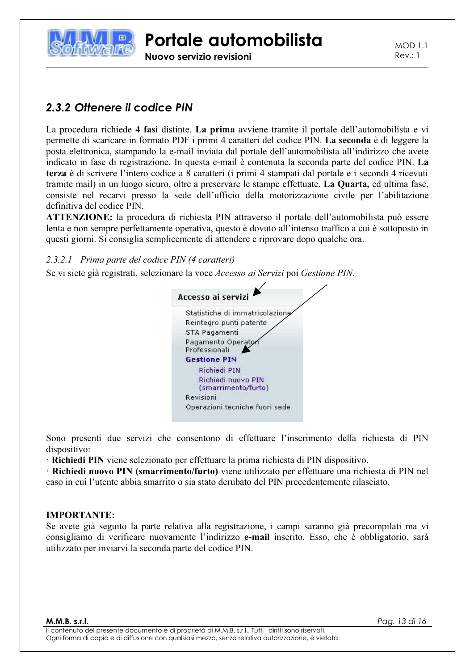

Nuovo servizio revisioni

**MOD 1.1**  $Rev: 1$ 

### 2.3.2 Ottenere il codice PIN

La procedura richiede 4 fasi distinte. La prima avviene tramite il portale dell'automobilista e vi permette di scaricare in formato PDF i primi 4 caratteri del codice PIN. La seconda è di leggere la posta elettronica, stampando la e-mail inviata dal portale dell'automobilista all'indirizzo che avete indicato in fase di registrazione. In questa e-mail è contenuta la seconda parte del codice PIN. La terza è di scrivere l'intero codice a 8 caratteri (i primi 4 stampati dal portale e i secondi 4 ricevuti tramite mail) in un luogo sicuro, oltre a preservare le stampe effettuate. La Quarta, ed ultima fase, consiste nel recarvi presso la sede dell'ufficio della motorizzazione civile per l'abilitazione definitiva del codice PIN.

ATTENZIONE: la procedura di richiesta PIN attraverso il portale dell'automobilista può essere lenta e non sempre perfettamente operativa, questo è dovuto all'intenso traffico a cui è sottoposto in questi giorni. Si consiglia semplicemente di attendere e riprovare dopo qualche ora.

#### 2.3.2.1 Prima parte del codice PIN (4 caratteri)

Se vi siete già registrati, selezionare la voce Accesso ai Servizi poi Gestione PIN.

| Statistiche di immatricolazione           |  |
|-------------------------------------------|--|
| Reintegro punti patente                   |  |
| STA Pagamenti                             |  |
| Pagamento Operato<br>Professionali        |  |
| <b>Gestione PIN</b>                       |  |
| Richiedi PIN                              |  |
| Richiedi nuovo PIN<br>(smarrimento/furto) |  |
| Revisioni                                 |  |
| Operazioni tecniche fuori sede            |  |

Sono presenti due servizi che consentono di effettuare l'inserimento della richiesta di PIN dispositivo:

· Richiedi PIN viene selezionato per effettuare la prima richiesta di PIN dispositivo.

· Richiedi nuovo PIN (smarrimento/furto) viene utilizzato per effettuare una richiesta di PIN nel caso in cui l'utente abbia smarrito o sia stato derubato del PIN precedentemente rilasciato.

#### **IMPORTANTE:**

Se avete già seguito la parte relativa alla registrazione, i campi saranno già precompilati ma vi consigliamo di verificare nuovamente l'indirizzo e-mail inserito. Esso, che è obbligatorio, sarà utilizzato per inviarvi la seconda parte del codice PIN.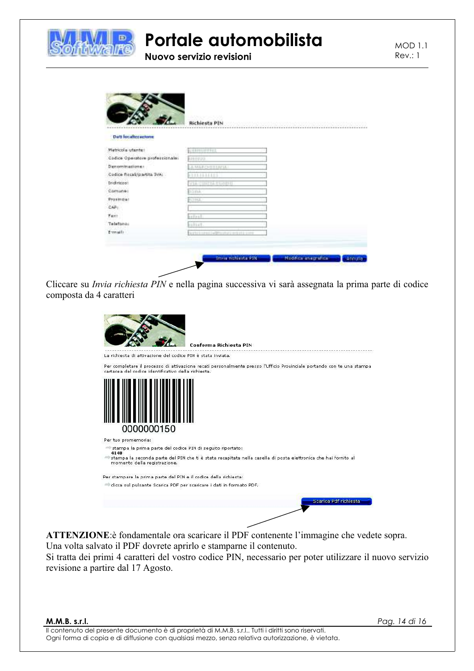

## Portale automobilista Nuovo servizio revisioni

**MOD 1.1**  $Rev: 1$ 

|                                 | Richiesta PIN                          |  |
|---------------------------------|----------------------------------------|--|
| <b>Dati localizzazione</b>      |                                        |  |
| Matricola utante:               | <b>ANERHOUSING</b>                     |  |
| Cadice Operatore professionale: | <b>ARRESTS</b>                         |  |
| Denominationes                  | LA MARCHILIMIA"                        |  |
| Codice fiscal/partita TVAL      | (111                                   |  |
| <b>Indirigas:</b>               | VIA CIREN ELGER                        |  |
| Comune:                         | nama                                   |  |
| Prostride!                      | <b>KITAL</b>                           |  |
| CAPI                            |                                        |  |
| <b>Faxt</b>                     | <b>SATAST</b>                          |  |
| Telefono:                       | <b>GELLY</b>                           |  |
| Ermail:                         | Nathi i savaj (w@tostati pri pti ciovi |  |

Cliccare su Invia richiesta PIN e nella pagina successiva vi sarà assegnata la prima parte di codice composta da 4 caratteri

|                                                                    | Conferma Richiesta PIN                                                                                                 |
|--------------------------------------------------------------------|------------------------------------------------------------------------------------------------------------------------|
| La richiesta di attivazione del codice PIN è stata inviata.        |                                                                                                                        |
| cartacea del codice identificativo della richiesta.                | Per completare il processo di attivazione recati personalmente presso l'Ufficio Provinciale portando con te una stampa |
| 0000000150                                                         |                                                                                                                        |
| Per tuo promemoria:                                                |                                                                                                                        |
| stampa la prima parte del codice PIN di seguito riportato:<br>4140 |                                                                                                                        |
| momento della registrazione.                                       | stampa la seconda parte del PIN che ti è stata recapitata nella casella di posta elettronica che hai fornito al        |
| Per stampare la prima parte del PIN e il codice della richiesta:   |                                                                                                                        |
|                                                                    | clicca sul pulsante Scarica PDF per scaricare i dati in formato PDF.                                                   |
|                                                                    | Scarica Pdf richiesta                                                                                                  |

ATTENZIONE:è fondamentale ora scaricare il PDF contenente l'immagine che vedete sopra. Una volta salvato il PDF dovrete aprirlo e stamparne il contenuto.

Si tratta dei primi 4 caratteri del vostro codice PIN, necessario per poter utilizzare il nuovo servizio revisione a partire dal 17 Agosto.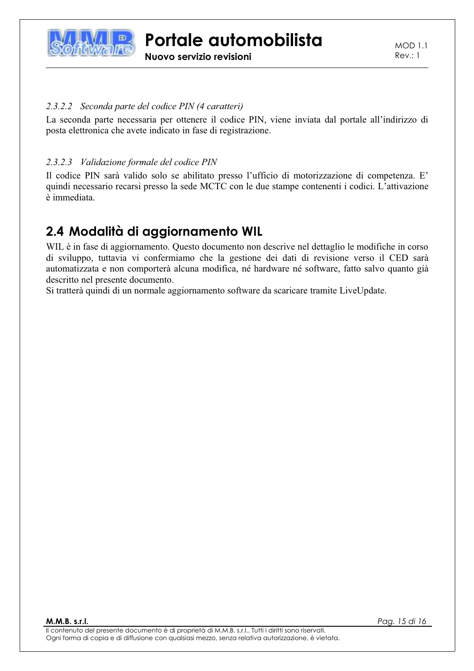

Nuovo servizio revisioni

**MOD 1.1**  $Rev.: 1$ 

#### 2.3.2.2 Seconda parte del codice PIN (4 caratteri)

La seconda parte necessaria per ottenere il codice PIN, viene inviata dal portale all'indirizzo di posta elettronica che avete indicato in fase di registrazione.

#### 2.3.2.3 Validazione formale del codice PIN

Il codice PIN sarà valido solo se abilitato presso l'ufficio di motorizzazione di competenza. E' quindi necessario recarsi presso la sede MCTC con le due stampe contenenti i codici. L'attivazione è immediata.

## 2.4 Modalità di aggiornamento WIL

WIL è in fase di aggiornamento. Questo documento non descrive nel dettaglio le modifiche in corso di sviluppo, tuttavia vi confermiamo che la gestione dei dati di revisione verso il CED sarà automatizzata e non comporterà alcuna modifica, né hardware né software, fatto salvo quanto già descritto nel presente documento.

Si tratterà quindi di un normale aggiornamento software da scaricare tramite LiveUpdate.